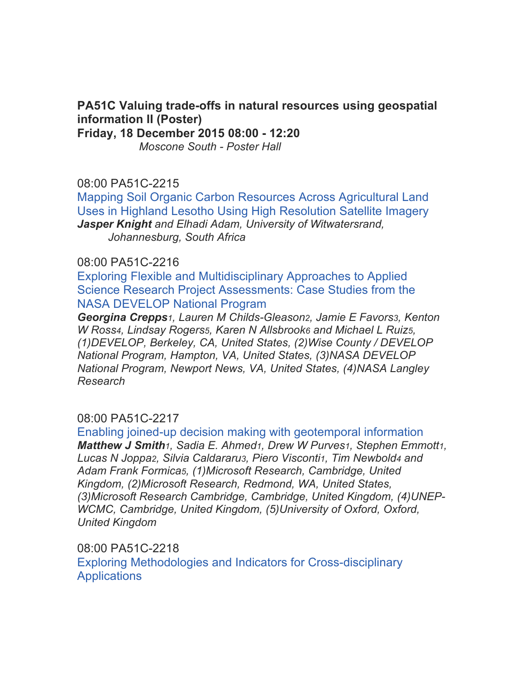# **PA51C Valuing trade-offs in natural resources using geospatial information II (Poster)**

**Friday, 18 December 2015 08:00 - 12:20**

*Moscone South - Poster Hall*

## 08:00 PA51C-2215

Mapping Soil Organic Carbon Resources Across Agricultural Land Uses in Highland Lesotho Using High Resolution Satellite Imagery *Jasper Knight and Elhadi Adam, University of Witwatersrand, Johannesburg, South Africa*

## 08:00 PA51C-2216

Exploring Flexible and Multidisciplinary Approaches to Applied Science Research Project Assessments: Case Studies from the NASA DEVELOP National Program

*Georgina Crepps1, Lauren M Childs-Gleason2, Jamie E Favors3, Kenton W Ross4, Lindsay Rogers5, Karen N Allsbrook6 and Michael L Ruiz5, (1)DEVELOP, Berkeley, CA, United States, (2)Wise County / DEVELOP National Program, Hampton, VA, United States, (3)NASA DEVELOP National Program, Newport News, VA, United States, (4)NASA Langley Research*

# 08:00 PA51C-2217

Enabling joined-up decision making with geotemporal information *Matthew J Smith1, Sadia E. Ahmed1, Drew W Purves1, Stephen Emmott1, Lucas N Joppa2, Silvia Caldararu3, Piero Visconti1, Tim Newbold4 and Adam Frank Formica5, (1)Microsoft Research, Cambridge, United Kingdom, (2)Microsoft Research, Redmond, WA, United States, (3)Microsoft Research Cambridge, Cambridge, United Kingdom, (4)UNEP-WCMC, Cambridge, United Kingdom, (5)University of Oxford, Oxford, United Kingdom*

08:00 PA51C-2218 Exploring Methodologies and Indicators for Cross-disciplinary **Applications**